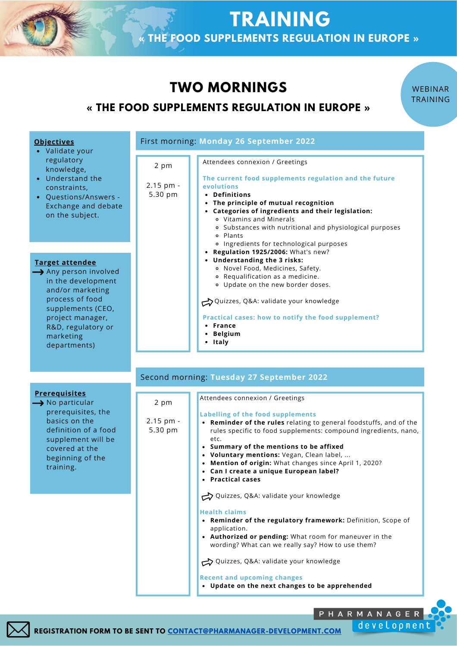# **TWO MORNINGS**

#### **« THE FOOD SUPPLEMENTS REGULATION IN EUROPE »**

**TRAINING**

**« THE FOOD SUPPLEMENTS REGULATION IN EUROPE »**

WEBINAR TRAINING

| <b>Objectives</b><br>• Validate your                                                                                                                                                            | First morning: Monday 26 September 2022 |                                                                                                                                                                                                                                                                                                                                                                                                                                        |  |
|-------------------------------------------------------------------------------------------------------------------------------------------------------------------------------------------------|-----------------------------------------|----------------------------------------------------------------------------------------------------------------------------------------------------------------------------------------------------------------------------------------------------------------------------------------------------------------------------------------------------------------------------------------------------------------------------------------|--|
| regulatory<br>knowledge,<br>• Understand the<br>constraints,<br>• Questions/Answers -<br>Exchange and debate<br>on the subject.                                                                 | 2 pm<br>2.15 pm -<br>5.30 pm            | Attendees connexion / Greetings<br>The current food supplements regulation and the future<br>evolutions<br>• Definitions<br>• The principle of mutual recognition<br>• Categories of ingredients and their legislation:<br>o Vitamins and Minerals<br>o Substances with nutritional and physiological purposes<br>o Plants                                                                                                             |  |
| Target attendee<br>Any person involved<br>in the development<br>and/or marketing<br>process of food<br>supplements (CEO,<br>project manager,<br>R&D, regulatory or<br>marketing<br>departments) |                                         | o Ingredients for technological purposes<br>• Regulation 1925/2006: What's new?<br>• Understanding the 3 risks:<br>· Novel Food, Medicines, Safety.<br>• Requalification as a medicine.<br>o Update on the new border doses.<br>Quizzes, Q&A: validate your knowledge<br>Practical cases: how to notify the food supplement?<br>• France<br>• Belgium<br>• Italy                                                                       |  |
|                                                                                                                                                                                                 |                                         | Second morning: Tuesday 27 September 2022                                                                                                                                                                                                                                                                                                                                                                                              |  |
| <b>Prerequisites</b><br>$\rightarrow$ No particular<br>prerequisites, the<br>basics on the<br>definition of a food<br>supplement will be<br>covered at the<br>beginning of the<br>training.     | 2 pm<br>2.15 pm -<br>5.30 pm<br>etc.    | Attendees connexion / Greetings<br><b>Labelling of the food supplements</b><br>• Reminder of the rules relating to general foodstuffs, and of the<br>rules specific to food supplements: compound ingredients, nano,<br>• Summary of the mentions to be affixed<br>• Voluntary mentions: Vegan, Clean label,<br>• Mention of origin: What changes since April 1, 2020?<br>• Can I create a unique European label?<br>• Practical cases |  |
|                                                                                                                                                                                                 |                                         | Quizzes, Q&A: validate your knowledge<br><b>Health claims</b><br>• Reminder of the regulatory framework: Definition, Scope of<br>application.<br>• Authorized or pending: What room for maneuver in the<br>wording? What can we really say? How to use them?<br>Quizzes, Q&A: validate your knowledge<br><b>Recent and upcoming changes</b><br>• Update on the next changes to be apprehended                                          |  |



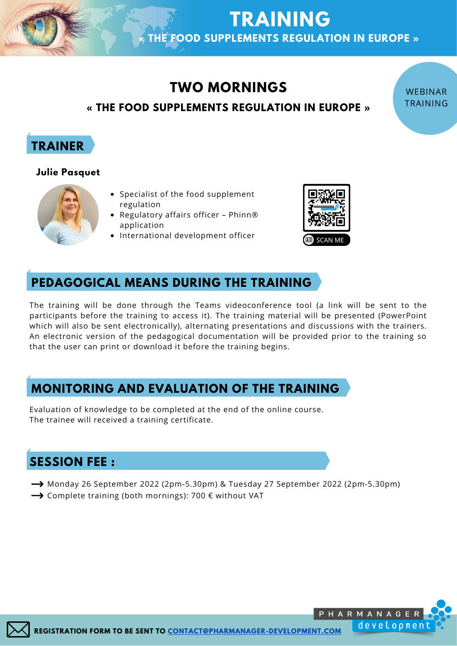# **TWO MORNINGS**

**TRAINING**

**« THE FOOD SUPPLEMENTS REGULATION IN EUROPE »**

#### **« THE FOOD SUPPLEMENTS REGULATION IN EUROPE »**

## **TRAINER**

#### **Julie Pasquet**



- Specialist of the food supplement regulation
- Regulatory affairs officer Phinn® application
- International development officer



WEBINAR TRAINING

## **PEDAGOGICAL MEANS DURING THE TRAINING**

The training will be done through the Teams videoconference tool (a link will be sent to the participants before the training to access it). The training material will be presented (PowerPoint which will also be sent electronically), alternating presentations and discussions with the trainers. An electronic version of the pedagogical documentation will be provided prior to the training so that the user can print or download it before the training begins.

## **MONITORING AND EVALUATION OF THE TRAINING**

Evaluation of knowledge to be completed at the end of the online course. The trainee will received a training certificate.

## **SESSION FEE :**

- Monday 26 September 2022 (2pm-5.30pm) & Tuesday 27 September 2022 (2pm-5.30pm)
- $\rightarrow$  Complete training (both mornings): 700  $\epsilon$  without VAT